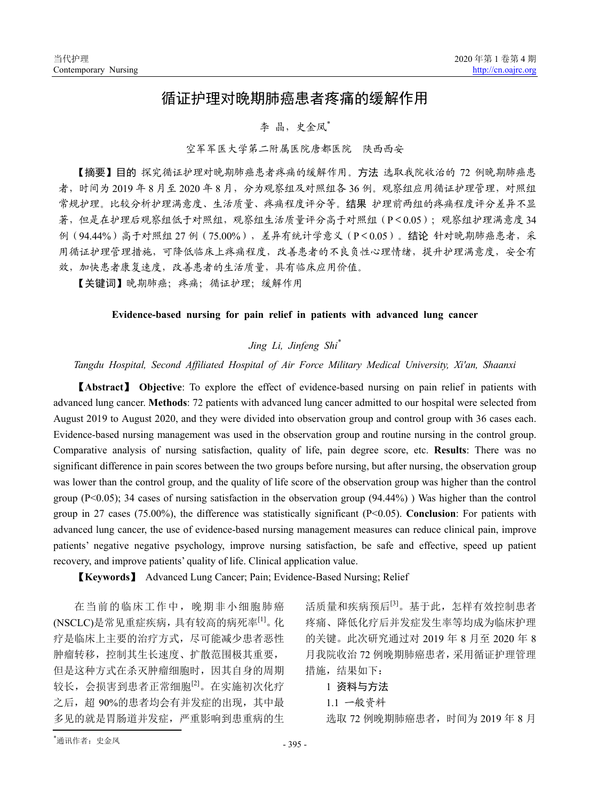# 循证护理对晚期肺癌患者疼痛的缓解作用

# 李 晶,史金凤\*

### 空军军医大学第二附属医院唐都医院 陕西西安

【摘要】目的 探究循证护理对晚期肺癌患者疼痛的缓解作用。方法 选取我院收治的 72 例晚期肺癌患 者,时间为 2019 年 8 月至 2020 年 8 月,分为观察组及对照组各 36 例。观察组应用循证护理管理,对照组 常规护理。比较分析护理满意度、生活质量、疼痛程度评分等。结果 护理前两组的疼痛程度评分差异不显 著,但是在护理后观察组低于对照组,观察组生活质量评分高于对照组(P<0.05);观察组护理满意度 34 例(94.44%)高于对照组 27 例(75.00%),差异有统计学意义(P<0.05)。结论 针对晚期肺癌患者,采 用循证护理管理措施,可降低临床上疼痛程度,改善患者的不良负性心理情绪,提升护理满意度,安全有 效,加快患者康复速度,改善患者的生活质量,具有临床应用价值。

【关键词】晚期肺癌;疼痛;循证护理;缓解作用

#### **Evidence-based nursing for pain relief in patients with advanced lung cancer**

# *Jing Li, Jinfeng Shi\**

## *Tangdu Hospital, Second Affiliated Hospital of Air Force Military Medical University, Xi'an, Shaanxi*

【**Abstract**】 **Objective**: To explore the effect of evidence-based nursing on pain relief in patients with advanced lung cancer. **Methods**: 72 patients with advanced lung cancer admitted to our hospital were selected from August 2019 to August 2020, and they were divided into observation group and control group with 36 cases each. Evidence-based nursing management was used in the observation group and routine nursing in the control group. Comparative analysis of nursing satisfaction, quality of life, pain degree score, etc. **Results**: There was no significant difference in pain scores between the two groups before nursing, but after nursing, the observation group was lower than the control group, and the quality of life score of the observation group was higher than the control group (P<0.05); 34 cases of nursing satisfaction in the observation group (94.44%)) Was higher than the control group in 27 cases (75.00%), the difference was statistically significant (P<0.05). **Conclusion**: For patients with advanced lung cancer, the use of evidence-based nursing management measures can reduce clinical pain, improve patients' negative negative psychology, improve nursing satisfaction, be safe and effective, speed up patient recovery, and improve patients' quality of life. Clinical application value.

【**Keywords**】 Advanced Lung Cancer; Pain; Evidence-Based Nursing; Relief

在当前的临床工作中,晚期非小细胞肺癌 (NSCLC)是常见重症疾病,具有较高的病死率[1]。化 疗是临床上主要的治疗方式,尽可能减少患者恶性 肿瘤转移,控制其生长速度、扩散范围极其重要, 但是这种方式在杀灭肿瘤细胞时,因其自身的周期 较长,会损害到患者正常细胞[2]。在实施初次化疗 之后,超 90%的患者均会有并发症的出现,其中最 多见的就是胃肠道并发症,严重影响到患重病的生 活质量和疾病预后[3]。基于此,怎样有效控制患者 疼痛、降低化疗后并发症发生率等均成为临床护理 的关键。此次研究通过对 2019 年 8 月至 2020 年 8 月我院收治 72 例晚期肺癌患者,采用循证护理管理 措施,结果如下:

#### 1 资料与方法

1.1 一般资料

选取 72 例晚期肺癌患者, 时间为 2019 年 8 月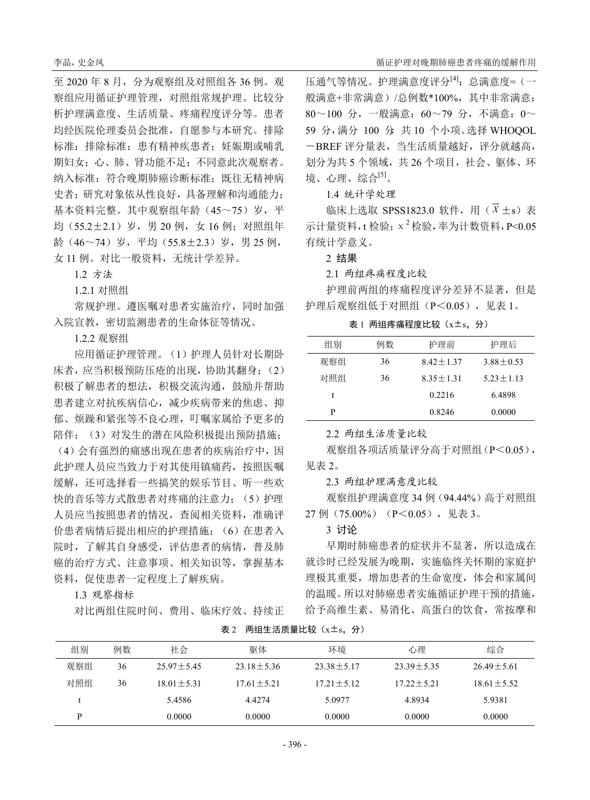至 2020 年 8 月,分为观察组及对照组各 36 例。观 察组应用循证护理管理,对照组常规护理。比较分 析护理满意度、生活质量、疼痛程度评分等。患者 均经医院伦理委员会批准,自愿参与本研究。排除 标准: 排除标准: 患有精神疾患者; 妊娠期或哺乳 期妇女;心、肺、肾功能不足;不同意此次观察者。 纳入标准:符合晚期肺癌诊断标准;既往无精神病 史者;研究对象依从性良好,具备理解和沟通能力; 基本资料完整。其中观察组年龄(45~75)岁,平 均 $(55.2+2.1)$  岁, 男 20 例, 女 16 例; 对照组年 龄(46~74)岁,平均(55.8±2.3)岁,男 25 例, 女 11 例。对比一般资料,无统计学差异。

1.2 方法

1.2.1 对照组

常规护理。遵医嘱对患者实施治疗,同时加强 入院宣教,密切监测患者的生命体征等情况。

1.2.2 观察组

应用循证护理管理。(1)护理人员针对长期卧 床者,应当积极预防压疮的出现,协助其翻身;(2) 积极了解患者的想法,积极交流沟通,鼓励并帮助 患者建立对抗疾病信心,减少疾病带来的焦虑、抑 郁、烦躁和紧张等不良心理,叮嘱家属给予更多的 陪伴;(3)对发生的潜在风险积极提出预防措施;

(4)会有强烈的痛感出现在患者的疾病治疗中,因 此护理人员应当致力于对其使用镇痛药,按照医嘱 缓解,还可选择看一些搞笑的娱乐节目、听一些欢 快的音乐等方式散患者对疼痛的注意力;(5)护理 人员应当按照患者的情况,查阅相关资料,准确评 价患者病情后提出相应的护理措施;(6)在患者入 院时,了解其自身感受,评估患者的病情,普及肺 癌的治疗方式、注意事项、相关知识等,掌握基本 资料,促使患者一定程度上了解疾病。

1.3 观察指标

对比两组住院时间、费用、临床疗效、持续正

压通气等情况。护理满意度评分<sup>[4]</sup>:总满意度=(一 般满意+非常满意)/总例数\*100%,其中非常满意: 80~100 分,一般满意:60~79 分,不满意:0~ 59 分, 满分 100 分 共 10 个小项。选择 WHOOOL -BREF 评分量表,当生活质量越好,评分就越高, 划分为共 5 个领域,共 26 个项目,社会、躯体、环 境、心理、综合[5]。

1.4 统计学处理

临床上选取 SPSS1823.0 软件, 用 (  $\overline{X}$  ±s) 表 示计量资料,t 检验; $x^2$  检验, 率为计数资料,  $P < 0.05$ 有统计学意义。

2 结果

2.1 两组疼痛程度比较

护理前两组的疼痛程度评分差异不显著,但是 护理后观察组低于对照组(P<0.05), 见表 1。

表 1 两组疼痛程度比较 (x±s, 分)

| 组别  | 例数 | 护理前           | 护理后           |
|-----|----|---------------|---------------|
| 观察组 | 36 | $8.42 + 1.37$ | $3.88 + 0.53$ |
| 对照组 | 36 | $8.35 + 1.31$ | $5.23 + 1.13$ |
| t   |    | 0.2216        | 6.4898        |
| р   |    | 0.8246        | 0.0000        |

2.2 两组生活质量比较

观察组各项活质量评分高于对照组(P<0.05), 见表 2。

2.3 两组护理满意度比较

观察组护理满意度 34 例(94.44%)高于对照组 27 例(75.00%) (P<0.05), 见表 3。

3 讨论

早期时肺癌患者的症状并不显著,所以造成在 就诊时已经发展为晚期,实施临终关怀期的家庭护 理极其重要,增加患者的生命宽度,体会和家属间 的温暖。所以对肺癌患者实施循证护理干预的措施, 给予高维生素、易消化、高蛋白的饮食,常按摩和

| 组别  | 例数 | 社会             | 躯体             | 环境             | 心理             | 综合             |
|-----|----|----------------|----------------|----------------|----------------|----------------|
| 观察组 | 36 | $25.97 + 5.45$ | $23.18 + 5.36$ | $23.38 + 5.17$ | $23.39 + 5.35$ | $26.49 + 5.61$ |
| 对照组 | 36 | $18.01 + 5.31$ | $17.61 + 5.21$ | $17.21 + 5.12$ | $17.22 + 5.21$ | $18.61 + 5.52$ |
|     |    | 5.4586         | 4.4274         | 5.0977         | 4.8934         | 5.9381         |
| D   |    | 0.0000         | 0.0000         | 0.0000         | 0.0000         | 0.0000         |

表 2 两组生活质量比较(x±s,分)